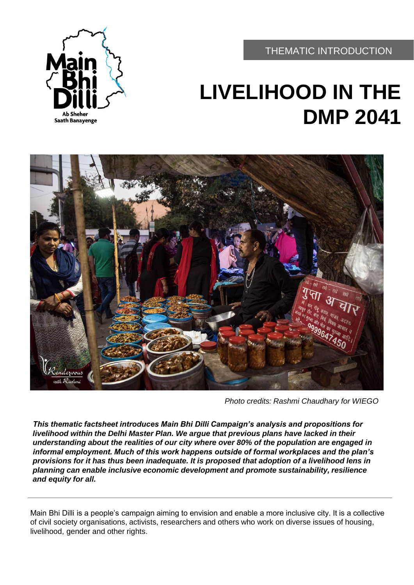THEMATIC INTRODUCTION



# **LIVELIHOOD IN THE DMP 2041**



*Photo credits: Rashmi Chaudhary for WIEGO*

*This thematic factsheet introduces Main Bhi Dilli Campaign's analysis and propositions for livelihood within the Delhi Master Plan. We argue that previous plans have lacked in their understanding about the realities of our city where over 80% of the population are engaged in informal employment. Much of this work happens outside of formal workplaces and the plan's provisions for it has thus been inadequate. It is proposed that adoption of a livelihood lens in planning can enable inclusive economic development and promote sustainability, resilience and equity for all.* 

Main Bhi Dilli is a people's campaign aiming to envision and enable a more inclusive city. It is a collective of civil society organisations, activists, researchers and others who work on diverse issues of housing, livelihood, gender and other rights.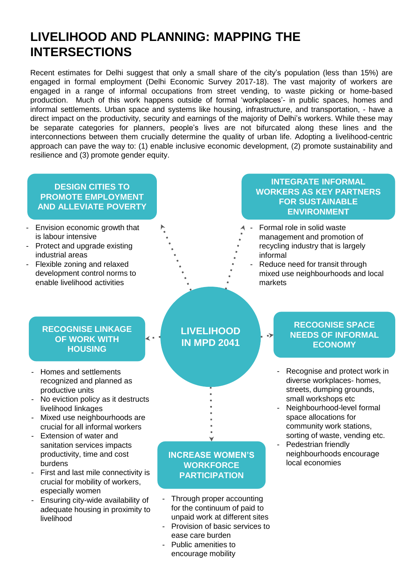## **LIVELIHOOD AND PLANNING: MAPPING THE INTERSECTIONS**

Recent estimates for Delhi suggest that only a small share of the city's population (less than 15%) are engaged in formal employment (Delhi Economic Survey 2017-18). The vast majority of workers are engaged in a range of informal occupations from street vending, to waste picking or home-based production. Much of this work happens outside of formal 'workplaces'- in public spaces, homes and informal settlements. Urban space and systems like housing, infrastructure, and transportation, - have a direct impact on the productivity, security and earnings of the majority of Delhi's workers. While these may be separate categories for planners, people's lives are not bifurcated along these lines and the interconnections between them crucially determine the quality of urban life. Adopting a livelihood-centric approach can pave the way to: (1) enable inclusive economic development, (2) promote sustainability and resilience and (3) promote gender equity.

#### **DESIGN CITIES TO PROMOTE EMPLOYMENT AND ALLEVIATE POVERTY**

- Envision economic growth that is labour intensive
- Protect and upgrade existing industrial areas
- Flexible zoning and relaxed development control norms to enable livelihood activities

#### **RECOGNISE LINKAGE OF WORK WITH HOUSING**

- Homes and settlements recognized and planned as productive units
- No eviction policy as it destructs livelihood linkages
- Mixed use neighbourhoods are crucial for all informal workers
- Extension of water and sanitation services impacts productivity, time and cost burdens
- First and last mile connectivity is crucial for mobility of workers, especially women
- Ensuring city-wide availability of adequate housing in proximity to livelihood

### **LIVELIHOOD IN MPD 2041**

#### **INTEGRATE INFORMAL WORKERS AS KEY PARTNERS FOR SUSTAINABLE ENVIRONMENT**

Formal role in solid waste management and promotion of recycling industry that is largely informal

 $\rightarrow$ 

Reduce need for transit through mixed use neighbourhoods and local markets

#### **RECOGNISE SPACE NEEDS OF INFORMAL ECONOMY**

- Recognise and protect work in diverse workplaces- homes, streets, dumping grounds, small workshops etc
- Neighbourhood-level formal space allocations for community work stations, sorting of waste, vending etc.
- Pedestrian friendly neighbourhoods encourage local economies

#### **INCREASE WOMEN'S WORKFORCE PARTICIPATION**

- Through proper accounting for the continuum of paid to unpaid work at different sites
- Provision of basic services to ease care burden
- Public amenities to encourage mobility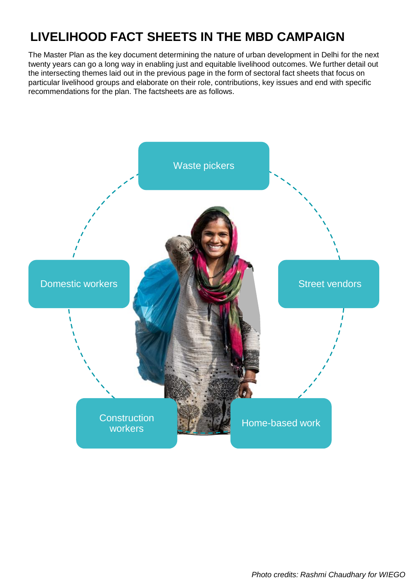# **LIVELIHOOD FACT SHEETS IN THE MBD CAMPAIGN**

The Master Plan as the key document determining the nature of urban development in Delhi for the next twenty years can go a long way in enabling just and equitable livelihood outcomes. We further detail out the intersecting themes laid out in the previous page in the form of sectoral fact sheets that focus on particular livelihood groups and elaborate on their role, contributions, key issues and end with specific recommendations for the plan. The factsheets are as follows.